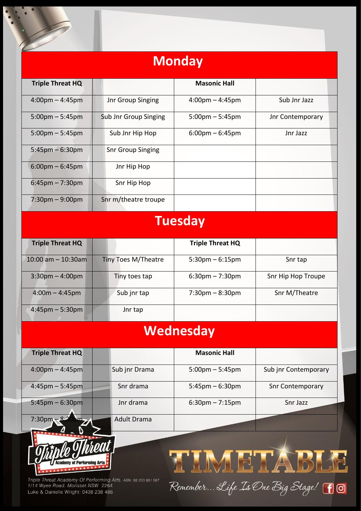| <b>Monday</b>                     |                            |                                   |                      |  |  |  |
|-----------------------------------|----------------------------|-----------------------------------|----------------------|--|--|--|
| <b>Triple Threat HQ</b>           |                            | <b>Masonic Hall</b>               |                      |  |  |  |
| $4:00 \text{pm} - 4:45 \text{pm}$ | Jnr Group Singing          | $4:00 \text{pm} - 4:45 \text{pm}$ | Sub Jnr Jazz         |  |  |  |
| $5:00$ pm $-5:45$ pm              | Sub Jnr Group Singing      | $5:00$ pm $-5:45$ pm              | Jnr Contemporary     |  |  |  |
| $5:00$ pm $-5:45$ pm              | Sub Jnr Hip Hop            | $6:00$ pm – $6:45$ pm             | Jnr Jazz             |  |  |  |
| $5:45$ pm $-6:30$ pm              | <b>Snr Group Singing</b>   |                                   |                      |  |  |  |
| $6:00$ pm – $6:45$ pm             | Jnr Hip Hop                |                                   |                      |  |  |  |
| $6:45$ pm – 7:30pm                | Snr Hip Hop                |                                   |                      |  |  |  |
| $7:30$ pm $-9:00$ pm              | Snr m/theatre troupe       |                                   |                      |  |  |  |
|                                   |                            | <b>Tuesday</b>                    |                      |  |  |  |
| <b>Triple Threat HQ</b>           |                            | <b>Triple Threat HQ</b>           |                      |  |  |  |
| $10:00$ am $- 10:30$ am           | <b>Tiny Toes M/Theatre</b> | $5:30$ pm $-6:15$ pm              | Snr tap              |  |  |  |
| $3:30$ pm $-4:00$ pm              | Tiny toes tap              | $6:30$ pm $-7:30$ pm              | Snr Hip Hop Troupe   |  |  |  |
| $4:00m - 4:45pm$                  | Sub jnr tap                | $7:30 \text{pm} - 8:30 \text{pm}$ | Snr M/Theatre        |  |  |  |
| $4:45$ pm $-5:30$ pm              | Jnr tap                    |                                   |                      |  |  |  |
| Wednesday                         |                            |                                   |                      |  |  |  |
| <b>Triple Threat HQ</b>           |                            | <b>Masonic Hall</b>               |                      |  |  |  |
| $4:00 \text{pm} - 4:45 \text{pm}$ | Sub jnr Drama              | $5:00$ pm $-5:45$ pm              | Sub jnr Contemporary |  |  |  |
| $4:45$ pm – 5:45pm                | Snr drama                  | $5:45$ pm – 6:30pm                | Snr Contemporary     |  |  |  |
| $5:45$ pm – 6:30pm                | Jnr drama                  | $6:30$ pm $-7:15$ pm              | Snr Jazz             |  |  |  |



I.

Triple Threat Academy Of Performing Arts. ABN: 88 203 801 587<br>1/14 Wyee Road. Morisset NSW 2264. Luke & Danielle Wright: 0438 238 486

7:30pm – 8:30pm Adult Drama